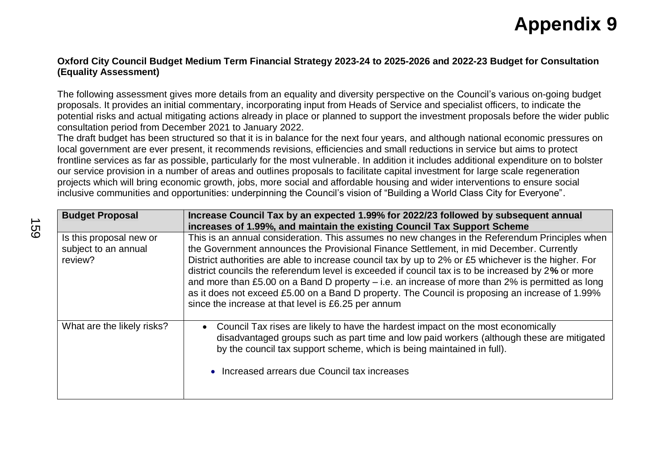## **Appendix 9**

## **Oxford City Council Budget Medium Term Financial Strategy 2023-24 to 2025-2026 and 2022-23 Budget for Consultation (Equality Assessment)**

The following assessment gives more details from an equality and diversity perspective on the Council's various on-going budget proposals. It provides an initial commentary, incorporating input from Heads of Service and specialist officers, to indicate the potential risks and actual mitigating actions already in place or planned to support the investment proposals before the wider public consultation period from December 2021 to January 2022.

The draft budget has been structured so that it is in balance for the next four years, and although national economic pressures on local government are ever present, it recommends revisions, efficiencies and small reductions in service but aims to protect frontline services as far as possible, particularly for the most vulnerable. In addition it includes additional expenditure on to bolster our service provision in a number of areas and outlines proposals to facilitate capital investment for large scale regeneration projects which will bring economic growth, jobs, more social and affordable housing and wider interventions to ensure social inclusive communities and opportunities: underpinning the Council's vision of "Building a World Class City for Everyone".

| <b>Budget Proposal</b>                                     | Increase Council Tax by an expected 1.99% for 2022/23 followed by subsequent annual                                                                                                                                                                                                                                                                                                                                                                                                                                                                                                                                                                                   |  |  |
|------------------------------------------------------------|-----------------------------------------------------------------------------------------------------------------------------------------------------------------------------------------------------------------------------------------------------------------------------------------------------------------------------------------------------------------------------------------------------------------------------------------------------------------------------------------------------------------------------------------------------------------------------------------------------------------------------------------------------------------------|--|--|
|                                                            | increases of 1.99%, and maintain the existing Council Tax Support Scheme                                                                                                                                                                                                                                                                                                                                                                                                                                                                                                                                                                                              |  |  |
| Is this proposal new or<br>subject to an annual<br>review? | This is an annual consideration. This assumes no new changes in the Referendum Principles when<br>the Government announces the Provisional Finance Settlement, in mid December. Currently<br>District authorities are able to increase council tax by up to 2% or £5 whichever is the higher. For<br>district councils the referendum level is exceeded if council tax is to be increased by 2% or more<br>and more than £5.00 on a Band D property - i.e. an increase of more than 2% is permitted as long<br>as it does not exceed £5.00 on a Band D property. The Council is proposing an increase of 1.99%<br>since the increase at that level is £6.25 per annum |  |  |
| What are the likely risks?                                 | Council Tax rises are likely to have the hardest impact on the most economically<br>disadvantaged groups such as part time and low paid workers (although these are mitigated<br>by the council tax support scheme, which is being maintained in full).<br>• Increased arrears due Council tax increases                                                                                                                                                                                                                                                                                                                                                              |  |  |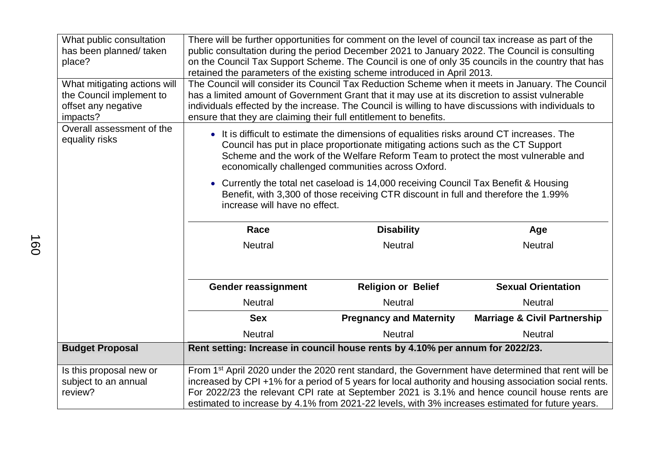| What public consultation<br>has been planned/taken<br>place?                                | There will be further opportunities for comment on the level of council tax increase as part of the<br>public consultation during the period December 2021 to January 2022. The Council is consulting<br>on the Council Tax Support Scheme. The Council is one of only 35 councils in the country that has<br>retained the parameters of the existing scheme introduced in April 2013.                                       |                                |                                         |  |
|---------------------------------------------------------------------------------------------|------------------------------------------------------------------------------------------------------------------------------------------------------------------------------------------------------------------------------------------------------------------------------------------------------------------------------------------------------------------------------------------------------------------------------|--------------------------------|-----------------------------------------|--|
| What mitigating actions will<br>the Council implement to<br>offset any negative<br>impacts? | The Council will consider its Council Tax Reduction Scheme when it meets in January. The Council<br>has a limited amount of Government Grant that it may use at its discretion to assist vulnerable<br>individuals effected by the increase. The Council is willing to have discussions with individuals to<br>ensure that they are claiming their full entitlement to benefits.                                             |                                |                                         |  |
| Overall assessment of the<br>equality risks                                                 | • It is difficult to estimate the dimensions of equalities risks around CT increases. The<br>Council has put in place proportionate mitigating actions such as the CT Support<br>Scheme and the work of the Welfare Reform Team to protect the most vulnerable and<br>economically challenged communities across Oxford.                                                                                                     |                                |                                         |  |
|                                                                                             | • Currently the total net caseload is 14,000 receiving Council Tax Benefit & Housing<br>Benefit, with 3,300 of those receiving CTR discount in full and therefore the 1.99%<br>increase will have no effect.                                                                                                                                                                                                                 |                                |                                         |  |
|                                                                                             | Race                                                                                                                                                                                                                                                                                                                                                                                                                         | <b>Disability</b>              | Age                                     |  |
|                                                                                             | <b>Neutral</b>                                                                                                                                                                                                                                                                                                                                                                                                               | <b>Neutral</b>                 | <b>Neutral</b>                          |  |
|                                                                                             | Gender reassignment                                                                                                                                                                                                                                                                                                                                                                                                          | <b>Religion or Belief</b>      | <b>Sexual Orientation</b>               |  |
|                                                                                             | <b>Neutral</b>                                                                                                                                                                                                                                                                                                                                                                                                               | <b>Neutral</b>                 | <b>Neutral</b>                          |  |
|                                                                                             | <b>Sex</b>                                                                                                                                                                                                                                                                                                                                                                                                                   | <b>Pregnancy and Maternity</b> | <b>Marriage &amp; Civil Partnership</b> |  |
|                                                                                             | <b>Neutral</b>                                                                                                                                                                                                                                                                                                                                                                                                               | <b>Neutral</b>                 | <b>Neutral</b>                          |  |
| <b>Budget Proposal</b>                                                                      | Rent setting: Increase in council house rents by 4.10% per annum for 2022/23.                                                                                                                                                                                                                                                                                                                                                |                                |                                         |  |
| Is this proposal new or<br>subject to an annual<br>review?                                  | From 1 <sup>st</sup> April 2020 under the 2020 rent standard, the Government have determined that rent will be<br>increased by CPI+1% for a period of 5 years for local authority and housing association social rents.<br>For 2022/23 the relevant CPI rate at September 2021 is 3.1% and hence council house rents are<br>estimated to increase by 4.1% from 2021-22 levels, with 3% increases estimated for future years. |                                |                                         |  |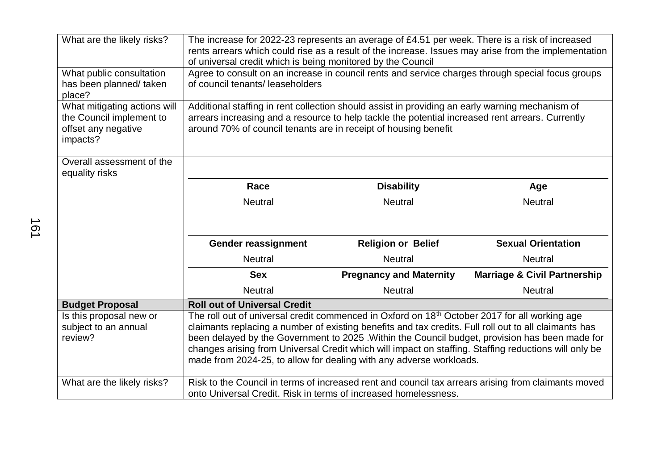| What are the likely risks?                                                                  | The increase for 2022-23 represents an average of £4.51 per week. There is a risk of increased<br>rents arrears which could rise as a result of the increase. Issues may arise from the implementation<br>of universal credit which is being monitored by the Council                                                                                                                                                                                                                                |                                |                                                                                                     |
|---------------------------------------------------------------------------------------------|------------------------------------------------------------------------------------------------------------------------------------------------------------------------------------------------------------------------------------------------------------------------------------------------------------------------------------------------------------------------------------------------------------------------------------------------------------------------------------------------------|--------------------------------|-----------------------------------------------------------------------------------------------------|
| What public consultation<br>has been planned/ taken<br>place?                               | Agree to consult on an increase in council rents and service charges through special focus groups<br>of council tenants/leaseholders                                                                                                                                                                                                                                                                                                                                                                 |                                |                                                                                                     |
| What mitigating actions will<br>the Council implement to<br>offset any negative<br>impacts? | Additional staffing in rent collection should assist in providing an early warning mechanism of<br>arrears increasing and a resource to help tackle the potential increased rent arrears. Currently<br>around 70% of council tenants are in receipt of housing benefit                                                                                                                                                                                                                               |                                |                                                                                                     |
| Overall assessment of the<br>equality risks                                                 |                                                                                                                                                                                                                                                                                                                                                                                                                                                                                                      |                                |                                                                                                     |
|                                                                                             | Race                                                                                                                                                                                                                                                                                                                                                                                                                                                                                                 | <b>Disability</b>              | Age                                                                                                 |
|                                                                                             | <b>Neutral</b>                                                                                                                                                                                                                                                                                                                                                                                                                                                                                       | <b>Neutral</b>                 | <b>Neutral</b>                                                                                      |
|                                                                                             | <b>Gender reassignment</b>                                                                                                                                                                                                                                                                                                                                                                                                                                                                           | <b>Religion or Belief</b>      | <b>Sexual Orientation</b>                                                                           |
|                                                                                             | <b>Neutral</b>                                                                                                                                                                                                                                                                                                                                                                                                                                                                                       | <b>Neutral</b>                 | <b>Neutral</b>                                                                                      |
|                                                                                             | <b>Sex</b>                                                                                                                                                                                                                                                                                                                                                                                                                                                                                           | <b>Pregnancy and Maternity</b> | <b>Marriage &amp; Civil Partnership</b>                                                             |
|                                                                                             | <b>Neutral</b>                                                                                                                                                                                                                                                                                                                                                                                                                                                                                       | <b>Neutral</b>                 | <b>Neutral</b>                                                                                      |
| <b>Budget Proposal</b>                                                                      | <b>Roll out of Universal Credit</b>                                                                                                                                                                                                                                                                                                                                                                                                                                                                  |                                |                                                                                                     |
| Is this proposal new or<br>subject to an annual<br>review?                                  | The roll out of universal credit commenced in Oxford on 18 <sup>th</sup> October 2017 for all working age<br>claimants replacing a number of existing benefits and tax credits. Full roll out to all claimants has<br>been delayed by the Government to 2025 .Within the Council budget, provision has been made for<br>changes arising from Universal Credit which will impact on staffing. Staffing reductions will only be<br>made from 2024-25, to allow for dealing with any adverse workloads. |                                |                                                                                                     |
| What are the likely risks?                                                                  | onto Universal Credit. Risk in terms of increased homelessness.                                                                                                                                                                                                                                                                                                                                                                                                                                      |                                | Risk to the Council in terms of increased rent and council tax arrears arising from claimants moved |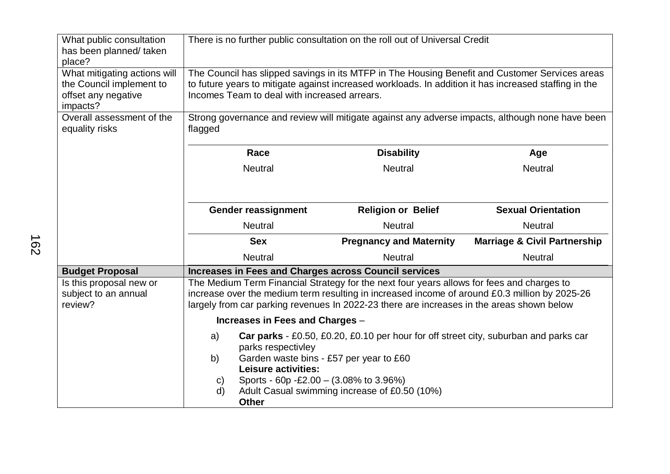| What public consultation<br>has been planned/taken<br>place?                                | There is no further public consultation on the roll out of Universal Credit                                                                                                                                                                                                                                                                                                                                                                                                                                                                                                                                                                                                            |                                |                                         |  |
|---------------------------------------------------------------------------------------------|----------------------------------------------------------------------------------------------------------------------------------------------------------------------------------------------------------------------------------------------------------------------------------------------------------------------------------------------------------------------------------------------------------------------------------------------------------------------------------------------------------------------------------------------------------------------------------------------------------------------------------------------------------------------------------------|--------------------------------|-----------------------------------------|--|
| What mitigating actions will<br>the Council implement to<br>offset any negative<br>impacts? | The Council has slipped savings in its MTFP in The Housing Benefit and Customer Services areas<br>to future years to mitigate against increased workloads. In addition it has increased staffing in the<br>Incomes Team to deal with increased arrears.                                                                                                                                                                                                                                                                                                                                                                                                                                |                                |                                         |  |
| Overall assessment of the<br>equality risks                                                 | Strong governance and review will mitigate against any adverse impacts, although none have been<br>flagged                                                                                                                                                                                                                                                                                                                                                                                                                                                                                                                                                                             |                                |                                         |  |
|                                                                                             | Race<br><b>Disability</b><br>Age                                                                                                                                                                                                                                                                                                                                                                                                                                                                                                                                                                                                                                                       |                                |                                         |  |
|                                                                                             | <b>Neutral</b>                                                                                                                                                                                                                                                                                                                                                                                                                                                                                                                                                                                                                                                                         | <b>Neutral</b>                 | <b>Neutral</b>                          |  |
|                                                                                             | <b>Gender reassignment</b>                                                                                                                                                                                                                                                                                                                                                                                                                                                                                                                                                                                                                                                             | <b>Religion or Belief</b>      | <b>Sexual Orientation</b>               |  |
|                                                                                             | <b>Neutral</b>                                                                                                                                                                                                                                                                                                                                                                                                                                                                                                                                                                                                                                                                         | <b>Neutral</b>                 | <b>Neutral</b>                          |  |
|                                                                                             | <b>Sex</b>                                                                                                                                                                                                                                                                                                                                                                                                                                                                                                                                                                                                                                                                             | <b>Pregnancy and Maternity</b> | <b>Marriage &amp; Civil Partnership</b> |  |
|                                                                                             | <b>Neutral</b>                                                                                                                                                                                                                                                                                                                                                                                                                                                                                                                                                                                                                                                                         | <b>Neutral</b>                 | <b>Neutral</b>                          |  |
| <b>Budget Proposal</b>                                                                      | <b>Increases in Fees and Charges across Council services</b>                                                                                                                                                                                                                                                                                                                                                                                                                                                                                                                                                                                                                           |                                |                                         |  |
| Is this proposal new or<br>subject to an annual<br>review?                                  | The Medium Term Financial Strategy for the next four years allows for fees and charges to<br>increase over the medium term resulting in increased income of around £0.3 million by 2025-26<br>largely from car parking revenues In 2022-23 there are increases in the areas shown below<br>Increases in Fees and Charges -<br>Car parks - £0.50, £0.20, £0.10 per hour for off street city, suburban and parks car<br>a)<br>parks respectivley<br>Garden waste bins - £57 per year to £60<br>b)<br><b>Leisure activities:</b><br>Sports - 60p - £2.00 - $(3.08\% \text{ to } 3.96\%)$<br>$\mathsf{C}$<br>Adult Casual swimming increase of £0.50 (10%)<br>$\mathsf{d}$<br><b>Other</b> |                                |                                         |  |
|                                                                                             |                                                                                                                                                                                                                                                                                                                                                                                                                                                                                                                                                                                                                                                                                        |                                |                                         |  |
|                                                                                             |                                                                                                                                                                                                                                                                                                                                                                                                                                                                                                                                                                                                                                                                                        |                                |                                         |  |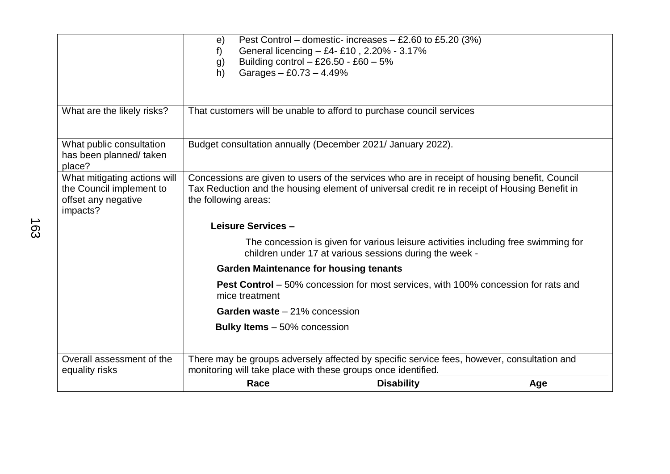|                                                                                             | e)<br>f)<br>Building control $-$ £26.50 - £60 $-$ 5%<br>g)<br>Garages $-$ £0.73 $-$ 4.49%<br>h)                                                                                                                        | Pest Control – domestic- increases – £2.60 to £5.20 (3%)<br>General licencing - £4- £10, 2.20% - 3.17%                                        |     |
|---------------------------------------------------------------------------------------------|------------------------------------------------------------------------------------------------------------------------------------------------------------------------------------------------------------------------|-----------------------------------------------------------------------------------------------------------------------------------------------|-----|
| What are the likely risks?                                                                  |                                                                                                                                                                                                                        | That customers will be unable to afford to purchase council services                                                                          |     |
| What public consultation<br>has been planned/ taken<br>place?                               | Budget consultation annually (December 2021/ January 2022).                                                                                                                                                            |                                                                                                                                               |     |
| What mitigating actions will<br>the Council implement to<br>offset any negative<br>impacts? | Concessions are given to users of the services who are in receipt of housing benefit, Council<br>Tax Reduction and the housing element of universal credit re in receipt of Housing Benefit in<br>the following areas: |                                                                                                                                               |     |
|                                                                                             | Leisure Services -                                                                                                                                                                                                     |                                                                                                                                               |     |
|                                                                                             |                                                                                                                                                                                                                        | The concession is given for various leisure activities including free swimming for<br>children under 17 at various sessions during the week - |     |
|                                                                                             | <b>Garden Maintenance for housing tenants</b>                                                                                                                                                                          |                                                                                                                                               |     |
|                                                                                             | mice treatment                                                                                                                                                                                                         | <b>Pest Control</b> – 50% concession for most services, with 100% concession for rats and                                                     |     |
|                                                                                             | Garden waste - 21% concession                                                                                                                                                                                          |                                                                                                                                               |     |
|                                                                                             | <b>Bulky Items</b> – 50% concession                                                                                                                                                                                    |                                                                                                                                               |     |
| Overall assessment of the<br>equality risks                                                 | There may be groups adversely affected by specific service fees, however, consultation and<br>monitoring will take place with these groups once identified.                                                            |                                                                                                                                               |     |
|                                                                                             | Race                                                                                                                                                                                                                   | <b>Disability</b>                                                                                                                             | Age |